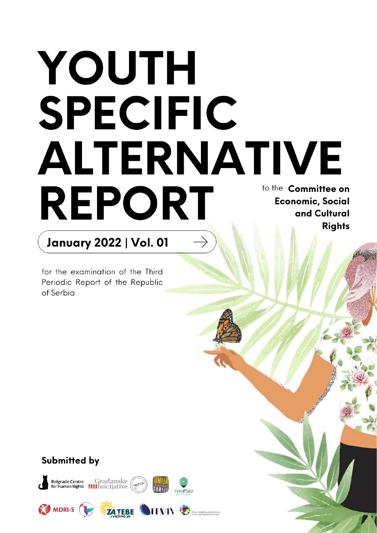# YOUTH SPECIFIC **ALTERNATIVE** to the Committee on **REPORT Economic, Social** and Cultural **Rights**

## **January 2022 | Vol. 01**

for the examination of the Third Periodic Report of the Republic of Serbia

### Submitted by

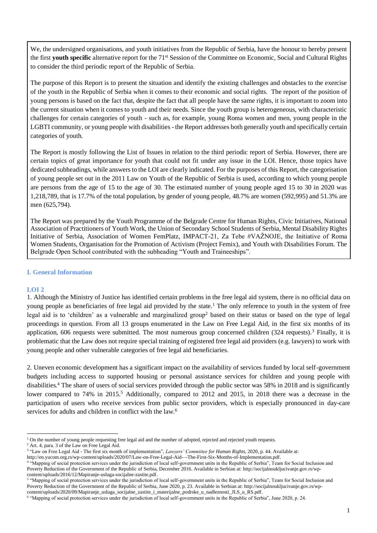We, the undersigned organisations, and youth initiatives from the Republic of Serbia, have the honour to hereby present the first **youth specific** alternative report for the 71st Session of the Committee on Economic, Social and Cultural Rights to consider the third periodic report of the Republic of Serbia.

The purpose of this Report is to present the situation and identify the existing challenges and obstacles to the exercise of the youth in the Republic of Serbia when it comes to their economic and social rights. The report of the position of young persons is based on the fact that, despite the fact that all people have the same rights, it is important to zoom into the current situation when it comes to youth and their needs. Since the youth group is heterogeneous, with characteristic challenges for certain categories of youth - such as, for example, young Roma women and men, young people in the LGBTI community, or young people with disabilities - the Report addresses both generally youth and specifically certain categories of youth.

The Report is mostly following the List of Issues in relation to the third periodic report of Serbia. However, there are certain topics of great importance for youth that could not fit under any issue in the LOI. Hence, those topics have dedicated subheadings, while answers to the LOI are clearly indicated. For the purposes of this Report, the categorisation of young people set out in the 2011 Law on Youth of the Republic of Serbia is used, according to which young people are persons from the age of 15 to the age of 30. The estimated number of young people aged 15 to 30 in 2020 was 1,218,789, that is 17.7% of the total population, by gender of young people, 48.7% are women (592,995) and 51.3% are men (625,794).

The Report was prepared by the Youth Programme of the Belgrade Centre for Human Rights, Civic Initiatives, National Association of Practitioners of Youth Work, the Union of Secondary School Students of Serbia, Mental Disability Rights Initiative of Serbia, Association of Women FemPlatz, IMPACT-21, Za Tebe #VAŽNOJE, the Initiative of Roma Women Students, Organisation for the Promotion of Activism (Project Femix), and Youth with Disabilities Forum. The Belgrade Open School contributed with the subheading "Youth and Traineeships".

#### **I. General Information**

#### **LOI 2**

1. Although the Ministry of Justice has identified certain problems in the free legal aid system, there is no official data on young people as beneficiaries of free legal aid provided by the state.<sup>1</sup> The only reference to youth in the system of free legal aid is to 'children' as a vulnerable and marginalized group<sup>2</sup> based on their status or based on the type of legal proceedings in question. From all 13 groups enumerated in the Law on Free Legal Aid, in the first six months of its application, 606 requests were submitted. The most numerous group concerned children  $(324 \text{ requests})$ .<sup>3</sup> Finally, it is problematic that the Law does not require special training of registered free legal aid providers (e.g. lawyers) to work with young people and other vulnerable categories of free legal aid beneficiaries.

2. Uneven economic development has a significant impact on the availability of services funded by local self-government budgets including access to supported housing or personal assistance services for children and young people with disabilities.<sup>4</sup> The share of users of social services provided through the public sector was 58% in 2018 and is significantly lower compared to 74% in 2015.<sup>5</sup> Additionally, compared to 2012 and 2015, in 2018 there was a decrease in the participation of users who receive services from public sector providers, which is especially pronounced in day-care services for adults and children in conflict with the law.<sup>6</sup>

<sup>&</sup>lt;sup>1</sup> On the number of young people requesting free legal aid and the number of adopted, rejected and rejected youth requests.

<sup>2</sup> Art. 4, para. 3 of the Law on Free Legal Aid.

<sup>3</sup> "Law on Free Legal Aid - The first six month of implementation", *Lawyers' Committee for Human Rights*, 2020, p. 44. Available at:

http://en.yucom.org.rs/wp-content/uploads/2020/07/Law-on-Free-Legal-Aid---The-First-Six-Months-of-Implementation.pdf.<br><sup>4</sup> "Mapping of social protection services under the jurisdiction of local self-government units in the Poverty Reduction of the Government of the Republic of Serbia, December 2016. Available in Serbian at[: http://socijalnoukljucivanje.gov.rs/wp](http://socijalnoukljucivanje.gov.rs/wp-content/uploads/2016/12/Mapiranje-usluga-socijalne-zastite.pdf)[content/uploads/2016/12/Mapiranje-usluga-socijalne-zastite.pdf.](http://socijalnoukljucivanje.gov.rs/wp-content/uploads/2016/12/Mapiranje-usluga-socijalne-zastite.pdf)

<sup>&</sup>lt;sup>5</sup> "Mapping of social protection services under the jurisdiction of local self-government units in the Republic of Serbia", Team for Social Inclusion and Poverty Reduction of the Government of the Republic of Serbia, June 2020, p. 23. Available in Serbian at[: http://socijalnoukljucivanje.gov.rs/wp](http://socijalnoukljucivanje.gov.rs/wp-content/uploads/2020/09/Mapiranje_usluga_socijalne_zastite_i_materijalne_podrske_u_nadleznosti_JLS_u_RS.pdf)[content/uploads/2020/09/Mapiranje\\_usluga\\_socijalne\\_zastite\\_i\\_materijalne\\_podrske\\_u\\_nadleznosti\\_JLS\\_u\\_RS.pdf.](http://socijalnoukljucivanje.gov.rs/wp-content/uploads/2020/09/Mapiranje_usluga_socijalne_zastite_i_materijalne_podrske_u_nadleznosti_JLS_u_RS.pdf)

<sup>6</sup> "Mapping of social protection services under the jurisdiction of local self-government units in the Republic of Serbia", June 2020, p. 24.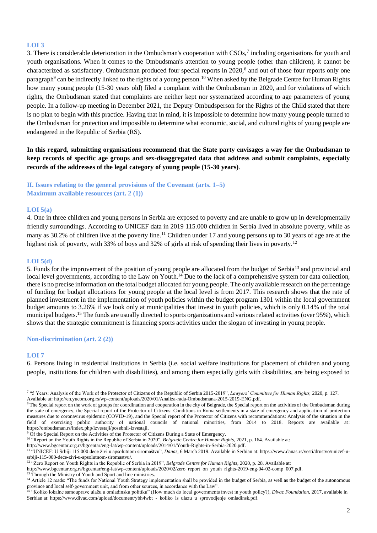#### **LOI 3**

3. There is considerable deterioration in the Ombudsman's cooperation with CSOs,<sup>7</sup> including organisations for youth and youth organisations. When it comes to the Ombudsman's attention to young people (other than children), it cannot be characterized as satisfactory. Ombudsman produced four special reports in 2020,<sup>8</sup> and out of those four reports only one paragraph<sup>9</sup> can be indirectly linked to the rights of a young person.<sup>10</sup> When asked by the Belgrade Centre for Human Rights how many young people (15-30 years old) filed a complaint with the Ombudsman in 2020, and for violations of which rights, the Ombudsman stated that complaints are neither kept nor systematized according to age parameters of young people. In a follow-up meeting in December 2021, the Deputy Ombudsperson for the Rights of the Child stated that there is no plan to begin with this practice. Having that in mind, it is impossible to determine how many young people turned to the Ombudsman for protection and impossible to determine what economic, social, and cultural rights of young people are endangered in the Republic of Serbia (RS).

**In this regard, submitting organisations recommend that the State party envisages a way for the Ombudsman to keep records of specific age groups and sex-disaggregated data that address and submit complaints, especially records of the addresses of the legal category of young people (15-30 years)**.

**II. Issues relating to the general provisions of the Covenant (arts. 1–5) Maximum available resources (art. 2 (1))**

#### **LOI 5(a)**

4. One in three children and young persons in Serbia are exposed to poverty and are unable to grow up in developmentally friendly surroundings. According to UNICEF data in 2019 115.000 children in Serbia lived in absolute poverty, while as many as 30.2% of children live at the poverty line.<sup>11</sup> Children under 17 and young persons up to 30 years of age are at the highest risk of poverty, with 33% of boys and 32% of girls at risk of spending their lives in poverty.<sup>12</sup>

#### **LOI 5(d)**

5. Funds for the improvement of the position of young people are allocated from the budget of Serbia<sup>13</sup> and provincial and local level governments, according to the Law on Youth.<sup>14</sup> Due to the lack of a comprehensive system for data collection, there is no precise information on the total budget allocated for young people. The only available research on the percentage of funding for budget allocations for young people at the local level is from 2017. This research shows that the rate of planned investment in the implementation of youth policies within the budget program 1301 within the local government budget amounts to 3.26% if we look only at municipalities that invest in youth policies, which is only 0.14% of the total municipal budgets.<sup>15</sup> The funds are usually directed to sports organizations and various related activities (over 95%), which shows that the strategic commitment is financing sports activities under the slogan of investing in young people.

#### **Non-discrimination (art. 2 (2))**

#### **LOI 7**

6. Persons living in residential institutions in Serbia (i.e. social welfare institutions for placement of children and young people, institutions for children with disabilities), and among them especially girls with disabilities, are being exposed to

<sup>13</sup> Through the Ministry of Youth and Sport and line ministries.

<sup>7</sup> "5 Years: Analysis of the Work of the Protector of Citizens of the Republic of Serbia 2015-2019", *Lawyers' Committee for Human Rights,* 2020, p. 127. Available at[: http://en.yucom.org.rs/wp-content/uploads/2020/01/Analiza-rada-Ombudsmana-2015-2019-ENG.pdf.](http://en.yucom.org.rs/wp-content/uploads/2020/01/Analiza-rada-Ombudsmana-2015-2019-ENG.pdf)

<sup>&</sup>lt;sup>8</sup> The Special report on the work of groups for coordination and cooperation in the city of Belgrade, the Special report on the activities of the Ombudsman during the state of emergency, the Special report of the Protector of Citizens: Conditions in Roma settlements in a state of emergency and application of protection measures due to coronavirus epidemic (COVID-19), and the Special report of the Protector of Citizens with recommendations: Analysis of the situation in the field of exercising public authority of national councils of national minorities, from 2014 to 2018. Reports are available at: [https://ombudsman.rs/index.php/izvestaji/posebnii-izvestaji.](https://ombudsman.rs/index.php/izvestaji/posebnii-izvestaji)

 $9 \text{ Of the Special Report on the Activities of the Protection of Citizens During a State of Energy.}$ 

<sup>&</sup>lt;sup>10</sup> "Report on the Youth Rights in the Republic of Serbia in 2020", *Belgrade Centre for Human Rights*, 2021, p. 164. Available at:

[http://www.bgcentar.org.rs/bgcentar/eng-lat/wp-content/uploads/2014/01/Youth-Rights-in-Serbia-2020.pdf.](http://www.bgcentar.org.rs/bgcentar/eng-lat/wp-content/uploads/2014/01/Youth-Rights-in-Serbia-2020.pdf)

<sup>&</sup>lt;sup>11</sup> "UNICEF: U Srbiji 115.000 dece živi u apsolutnom siromaštvu", *Danas*, 6 March 2019. Available in Serbian at[: https://www.danas.rs/vesti/drustvo/unicef-u](https://www.danas.rs/vesti/drustvo/unicef-u-srbiji-115-000-dece-zivi-u-apsolutnom-siromastvu/)[srbiji-115-000-dece-zivi-u-apsolutnom-siromastvu/.](https://www.danas.rs/vesti/drustvo/unicef-u-srbiji-115-000-dece-zivi-u-apsolutnom-siromastvu/)

<sup>&</sup>lt;sup>12</sup> "Zero Report on Youth Rights in the Republic of Serbia in 2019", *Belgrade Centre for Human Rights*, 2020, p. 28. Available at:

[http://www.bgcentar.org.rs/bgcentar/eng-lat/wp-content/uploads/2020/02/zero\\_report\\_on\\_youth\\_rights-2019-eng-04-02-comp\\_007.pdf.](http://www.bgcentar.org.rs/bgcentar/eng-lat/wp-content/uploads/2020/02/zero_report_on_youth_rights-2019-eng-04-02-comp_007.pdf)

<sup>&</sup>lt;sup>14</sup> Article 12 reads: "The funds for National Youth Strategy implementation shall be provided in the budget of Serbia, as well as the budget of the autonomous province and local self-government unit, and from other sources, in accordance with the Law".

<sup>&</sup>lt;sup>15</sup> "Koliko lokalne samouprave ulažu u omladinsku politiku" (How much do local governments invest in youth policy?), *Divac Foundation*, 2017, available in Serbian at: [https://www.divac.com/upload/document/ybh4wbt\\_-\\_koliko\\_ls\\_ulazu\\_u\\_sprovodjenje\\_omladinsk.pdf.](https://www.divac.com/upload/document/ybh4wbt_-_koliko_ls_ulazu_u_sprovodjenje_omladinsk.pdf)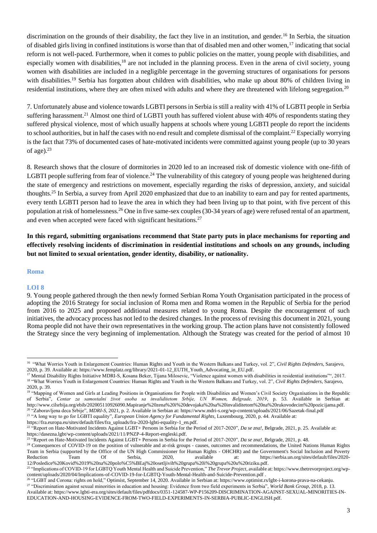discrimination on the grounds of their disability, the fact they live in an institution, and gender.<sup>16</sup> In Serbia, the situation of disabled girls living in confined institutions is worse than that of disabled men and other women,<sup>17</sup> indicating that social reform is not well-paced. Furthermore, when it comes to public policies on the matter, young people with disabilities, and especially women with disabilities,<sup>18</sup> are not included in the planning process. Even in the arena of civil society, young women with disabilities are included in a negligible percentage in the governing structures of organisations for persons with disabilities.<sup>19</sup> Serbia has forgotten about children with disabilities, who make up about 80% of children living in residential institutions, where they are often mixed with adults and where they are threatened with lifelong segregation.<sup>20</sup>

7. Unfortunately abuse and violence towards LGBTI persons in Serbia is still a reality with 41% of LGBTI people in Serbia suffering harassment.<sup>21</sup> Almost one third of LGBTI youth has suffered violent abuse with 40% of respondents stating they suffered physical violence, most of which usually happens at schools where young LGBTI people do report the incidents to school authorities, but in half the cases with no end result and complete dismissal of the complaint.<sup>22</sup> Especially worrying is the fact that 73% of documented cases of hate-motivated incidents were committed against young people (up to 30 years of age). $23$ 

8. Research shows that the closure of dormitories in 2020 led to an increased risk of domestic violence with one-fifth of LGBTI people suffering from fear of violence.<sup>24</sup> The vulnerability of this category of young people was heightened during the state of emergency and restrictions on movement, especially regarding the risks of depression, anxiety, and suicidal thoughts.<sup>25</sup> In Serbia, a survey from April 2020 emphasized that due to an inability to earn and pay for rented apartments, every tenth LGBTI person had to leave the area in which they had been living up to that point, with five percent of this population at risk of homelessness.<sup>26</sup> One in five same-sex couples (30-34 years of age) were refused rental of an apartment, and even when accepted were faced with significant hesitations.<sup>27</sup>

**In this regard, submitting organisations recommend that State party puts in place mechanisms for reporting and effectively resolving incidents of discrimination in residential institutions and schools on any grounds, including but not limited to sexual orientation, gender identity, disability, or nationality.**

#### **Roma**

#### **LOI 8**

9. Young people gathered through the then newly formed Serbian Roma Youth Organisation participated in the process of adopting the 2016 Strategy for social inclusion of Roma men and Roma women in the Republic of Serbia for the period from 2016 to 2025 and proposed additional measures related to young Roma. Despite the encouragement of such initiatives, the advocacy process has not led to the desired changes. In the process of revising this document in 2021, young Roma people did not have their own representatives in the working group. The action plans have not consistently followed the Strategy since the very beginning of implementation. Although the Strategy was created for the period of almost 10

<sup>21</sup> "A long way to go for LGBTI equality", *European Union Agency for Fundamental Rights*, Luxembourg, 2020, p. 44. Available at:

[https://fra.europa.eu/sites/default/files/fra\\_uploads/fra-2020-lgbti-equality-1\\_en.pdf.](https://fra.europa.eu/sites/default/files/fra_uploads/fra-2020-lgbti-equality-1_en.pdf)

<sup>23</sup> "Report on Hate-Motivated Incidents Against LGBT+ Persons in Serbia for the Period of 2017-2020", *Da se zna!*, Belgrade, 2021, p. 48.

[content/uploads/2020/04/Implications-of-COVID-19-for-LGBTQ-Youth-Mental-Health-and-Suicide-Prevention.pdf](https://www.thetrevorproject.org/wp-content/uploads/2020/04/Implications-of-COVID-19-for-LGBTQ-Youth-Mental-Health-and-Suicide-Prevention.pdf) .

<sup>&</sup>lt;sup>16</sup> "What Worries Youth in Enlargement Countries: Human Rights and Youth in the Western Balkans and Turkey, vol. 2", *Civil Rights Defenders*, Sarajevo, 2020, p. 39. Available at[: https://www.femplatz.org/library/2021-01-12\\_EUTH\\_Youth\\_Advocating\\_in\\_EU.pdf.](https://www.femplatz.org/library/2021-01-12_EUTH_Youth_Advocating_in_EU.pdf)

<sup>17</sup> Mental Disability Rights Initiative MDRI-S, Kosana Beker, Tijana Milosevic, "Violence against women with disabilities in residential institutions"", 2017. <sup>18</sup> "What Worries Youth in Enlargement Countries: Human Rights and Youth in the Western Balkans and Turkey, vol. 2", *Civil Rights Defenders*, Sarajevo, 2020, p. 39.

<sup>&</sup>lt;sup>19</sup> "Mapping of Women and Girls at Leading Positions in Organisations for People with Disabilities and Women's Civil Society Organisations in the Republic of Serbia", *Centar za samostalni život osoba sa invaliditetom Srbije, UN Women, Belgrade, 2019*, p. 53. Available in Serbian at: [http://www.cilsrbija.org/ebib/202005110926090.Mapiranje%20zena%20i%20devojaka%20sa%20invaliditetom%20na%20rukovodecim%20pozicijama.pdf.](http://www.cilsrbija.org/ebib/202005110926090.Mapiranje%20zena%20i%20devojaka%20sa%20invaliditetom%20na%20rukovodecim%20pozicijama.pdf) <sup>20</sup> "Zaboravljena deca Srbije", *MDRI-S*, 2021, p. 2. Available in Serbian at[: https://www.mdri-s.org/wp-content/uploads/2021/06/Sazetak-final.pdf](https://www.mdri-s.org/wp-content/uploads/2021/06/Sazetak-final.pdf)

<sup>&</sup>lt;sup>22</sup> "Report on Hate-Motivated Incidents Against LGBT+ Persons in Serbia for the Period of 2017-2020", *Da se zna!*, Belgrade, 2021, p. 25. Available at: [https://dasezna.lgbt/wp-content/uploads/2021/11/PNZP-4-Report-engleski.pdf.](https://dasezna.lgbt/wp-content/uploads/2021/11/PNZP-4-Report-engleski.pdf)

<sup>&</sup>lt;sup>24</sup> Consequences of COVID-19 on the position of vulnerable and at-risk groups - causes, outcomes and recommendations, the United Nations Human Rights Team in Serbia (supported by the Office of the UN High Commissioner for Human Rights - OHCHR) and the Government's Social Inclusion and Poverty Reduction Team Of Serbia, 2020, available at: [https://serbia.un.org/sites/default/files/2020-](https://serbia.un.org/sites/default/files/2020-12/Posledice%20Kovid%2019%20na%20polo%C5%BEaj%20osetljivih%20grupa%20i%20grupa%20u%20riziku.pdf) [12/Posledice%20Kovid%2019%20na%20polo%C5%BEaj%20osetljivih%20grupa%20i%20grupa%20u%20riziku.pdf.](https://serbia.un.org/sites/default/files/2020-12/Posledice%20Kovid%2019%20na%20polo%C5%BEaj%20osetljivih%20grupa%20i%20grupa%20u%20riziku.pdf) <sup>25</sup> "Implications of COVID-19 for LGBTQ Youth Mental Health and Suicide Prevention," *The Trevor Project*, available at: [https://www.thetrevorproject.org/wp-](https://www.thetrevorproject.org/wp-content/uploads/2020/04/Implications-of-COVID-19-for-LGBTQ-Youth-Mental-Health-and-Suicide-Prevention.pdf)

<sup>26</sup> "LGBT and Corona: rights on hold," Optimist, September 14, 2020. Available in Serbian at[: https://www.optimist.rs/lgbt-i-korona-prava-na-cekanju.](https://www.optimist.rs/lgbt-i-korona-prava-na-cekanju/) 

<sup>27</sup> "Discrimination against sexual minorities in education and housing: Evidence from two field experiments in Serbia", *World Bank Group*, 2018, p. 13. Available at[: https://www.lgbti-era.org/sites/default/files/pdfdocs/0351-124587-WP-P156209-DISCRIMINATION-AGAINST-SEXUAL-MINORITIES-IN-](https://www.lgbti-era.org/sites/default/files/pdfdocs/0351-124587-WP-P156209-DISCRIMINATION-AGAINST-SEXUAL-MINORITIES-IN-EDUCATION-AND-HOUSING-EVIDENCE-FROM-TWO-FIELD-EXPERIMENTS-IN-SERBIA-PUBLIC-ENGLISH.pdf)[EDUCATION-AND-HOUSING-EVIDENCE-FROM-TWO-FIELD-EXPERIMENTS-IN-SERBIA-PUBLIC-ENGLISH.pdf.](https://www.lgbti-era.org/sites/default/files/pdfdocs/0351-124587-WP-P156209-DISCRIMINATION-AGAINST-SEXUAL-MINORITIES-IN-EDUCATION-AND-HOUSING-EVIDENCE-FROM-TWO-FIELD-EXPERIMENTS-IN-SERBIA-PUBLIC-ENGLISH.pdf)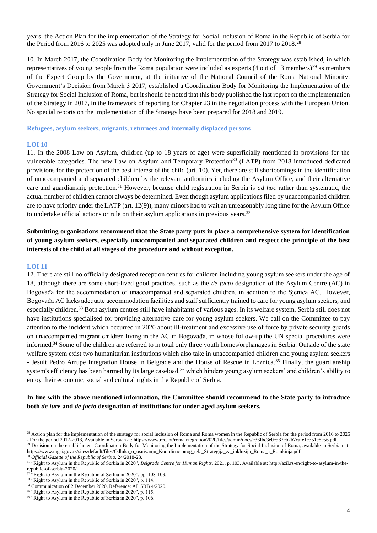years, the Action Plan for the implementation of the Strategy for Social Inclusion of Roma in the Republic of Serbia for the Period from 2016 to 2025 was adopted only in June 2017, valid for the period from 2017 to 2018.<sup>28</sup>

10. In March 2017, the Coordination Body for Monitoring the Implementation of the Strategy was established, in which representatives of young people from the Roma population were included as experts  $(4 \text{ out of } 13 \text{ members})^{29}$  as members of the Expert Group by the Government, at the initiative of the National Council of the Roma National Minority. Government's Decision from March 3 2017, established a Coordination Body for Monitoring the Implementation of the Strategy for Social Inclusion of Roma, but it should be noted that this body published the last report on the implementation of the Strategy in 2017, in the framework of reporting for Chapter 23 in the negotiation process with the European Union. No special reports on the implementation of the Strategy have been prepared for 2018 and 2019.

**Refugees, asylum seekers, migrants, returnees and internally displaced persons**

#### **LOI 10**

11. In the 2008 Law on Asylum, children (up to 18 years of age) were superficially mentioned in provisions for the vulnerable categories. The new Law on Asylum and Temporary Protection<sup>30</sup> (LATP) from 2018 introduced dedicated provisions for the protection of the best interest of the child (art. 10). Yet, there are still shortcomings in the identification of unaccompanied and separated children by the relevant authorities including the Asylum Office, and their alternative care and guardianship protection.<sup>31</sup> However, because child registration in Serbia is *ad hoc* rather than systematic, the actual number of children cannot always be determined. Even though asylum applications filed by unaccompanied children are to have priority under the LATP (art. 12(9)), many minors had to wait an unreasonably long time for the Asylum Office to undertake official actions or rule on their asylum applications in previous years.<sup>32</sup>

**Submitting organisations recommend that the State party puts in place a comprehensive system for identification of young asylum seekers, especially unaccompanied and separated children and respect the principle of the best interests of the child at all stages of the procedure and without exception.**

#### **LOI 11**

12. There are still no officially designated reception centres for children including young asylum seekers under the age of 18, although there are some short-lived good practices, such as the *de facto* designation of the Asylum Centre (AC) in Bogovađa for the accommodation of unaccompanied and separated children, in addition to the Sjenica AC. However, Bogovađa AC lacks adequate accommodation facilities and staff sufficiently trained to care for young asylum seekers, and especially children.<sup>33</sup> Both asylum centres still have inhabitants of various ages. In its welfare system, Serbia still does not have institutions specialised for providing alternative care for young asylum seekers. We call on the Committee to pay attention to the incident which occurred in 2020 about ill-treatment and excessive use of force by private security guards on unaccompanied migrant children living in the AC in Bogovađa, in whose follow-up the UN special procedures were informed.<sup>34</sup> Some of the children are referred to in total only three youth homes/orphanages in Serbia. Outside of the state welfare system exist two humanitarian institutions which also take in unaccompanied children and young asylum seekers - Jesuit Pedro Arrupe Integration House in Belgrade and the House of Rescue in Loznica.<sup>35</sup> Finally, the guardianship system's efficiency has been harmed by its large caseload,<sup>36</sup> which hinders young asylum seekers' and children's ability to enjoy their economic, social and cultural rights in the Republic of Serbia.

#### **In line with the above mentioned information, the Committee should recommend to the State party to introduce both** *de iure* **and** *de facto* **designation of institutions for under aged asylum seekers.**

[https://www.mgsi.gov.rs/sites/default/files/Odluka\\_o\\_osnivanju\\_Koordinacionog\\_tela\\_Strategija\\_za\\_inkluziju\\_Roma\\_i\\_Romkinja.pdf.](https://www.mgsi.gov.rs/sites/default/files/Odluka_o_osnivanju_Koordinacionog_tela_Strategija_za_inkluziju_Roma_i_Romkinja.pdf) <sup>30</sup> *Official Gazette of the Republic of Serbia*, 24/2018-23.

<sup>&</sup>lt;sup>28</sup> Action plan for the implementation of the strategy for social inclusion of Roma and Roma women in the Republic of Serbia for the period from 2016 to 2025 - For the period 2017-2018, Available in Serbian at: [https://www.rcc.int/romaintegration2020/files/admin/docs/c36fbc3e0c587cb2b7cafe1e351e8c56.pdf.](https://www.rcc.int/romaintegration2020/files/admin/docs/c36fbc3e0c587cb2b7cafe1e351e8c56.pdf) <sup>29</sup> Decision on the establishment Coordination Body for Monitoring the Implementation of the Strategy for Social Inclusion of Roma, available in Serbian at:

<sup>31</sup> "Right to Asylum in the Republic of Serbia in 2020", *Belgrade Centre for Human Rights*, 2021, p. 103. Available at[: http://azil.rs/en/right-to-asylum-in-the](http://azil.rs/en/right-to-asylum-in-the-republic-of-serbia-2020/)[republic-of-serbia-2020/.](http://azil.rs/en/right-to-asylum-in-the-republic-of-serbia-2020/)

<sup>32</sup> "Right to Asylum in the Republic of Serbia in 2020", pp. 108-109.

<sup>&</sup>lt;sup>33</sup> "Right to Asylum in the Republic of Serbia in 2020", p. 114.

<sup>&</sup>lt;sup>34</sup> Communication of 2 December 2020, Reference: AL SRB 4/2020.

<sup>&</sup>lt;sup>35</sup> "Right to Asylum in the Republic of Serbia in 2020", p. 115.

<sup>&</sup>lt;sup>36</sup> "Right to Asylum in the Republic of Serbia in 2020", p. 106.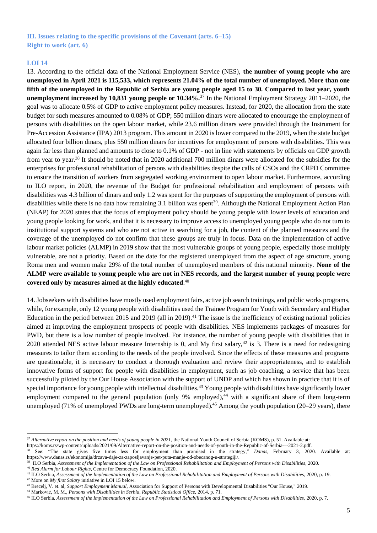#### **III. Issues relating to the specific provisions of the Covenant (arts. 6–15) Right to work (art. 6)**

#### **LOI 14**

13. According to the official data of the National Employment Service (NES), **the number of young people who are unemployed in April 2021 is 115,533, which represents 21.04% of the total number of unemployed. More than one fifth of the unemployed in the Republic of Serbia are young people aged 15 to 30. Compared to last year, youth unemployment increased by 10,831 young people or 10.34%.**<sup>37</sup> In the National Employment Strategy 2011–2020, the goal was to allocate 0.5% of GDP to active employment policy measures. Instead, for 2020, the allocation from the state budget for such measures amounted to 0.08% of GDP; 550 million dinars were allocated to encourage the employment of persons with disabilities on the open labour market, while 23.6 million dinars were provided through the Instrument for Pre-Accession Assistance (IPA) 2013 program. This amount in 2020 is lower compared to the 2019, when the state budget allocated four billion dinars, plus 550 million dinars for incentives for employment of persons with disabilities. This was again far less than planned and amounts to close to 0.1% of GDP - not in line with statements by officials on GDP growth from year to year.<sup>38</sup> It should be noted that in 2020 additional 700 million dinars were allocated for the subsidies for the enterprises for professional rehabilitation of persons with disabilities despite the calls of CSOs and the CRPD Committee to ensure the transition of workers from segregated working environment to open labour market. Furthermore, according to ILO report, in 2020, the revenue of the Budget for professional rehabilitation and employment of persons with disabilities was 4.3 billion of dinars and only 1.2 was spent for the purposes of supporting the employment of persons with disabilities while there is no data how remaining 3.1 billion was spent<sup>39</sup>. Although the National Employment Action Plan (NEAP) for 2020 states that the focus of employment policy should be young people with lower levels of education and young people looking for work, and that it is necessary to improve access to unemployed young people who do not turn to institutional support systems and who are not active in searching for a job, the content of the planned measures and the coverage of the unemployed do not confirm that these groups are truly in focus. Data on the implementation of active labour market policies (ALMP) in 2019 show that the most vulnerable groups of young people, especially those multiply vulnerable, are not a priority. Based on the date for the registered unemployed from the aspect of age structure, young Roma men and women make 29% of the total number of unemployed members of this national minority. **None of the ALMP were available to young people who are not in NES records, and the largest number of young people were covered only by measures aimed at the highly educated**. 40

14. Jobseekers with disabilities have mostly used employment fairs, active job search trainings, and public works programs, while, for example, only 12 young people with disabilities used the Trainee Program for Youth with Secondary and Higher Education in the period between 2015 and 2019 (all in 2019).<sup>41</sup> The issue is the inefficiency of existing national policies aimed at improving the employment prospects of people with disabilities. NES implements packages of measures for PWD, but there is a low number of people involved. For instance, the number of young people with disabilities that in 2020 attended NES active labour measure Internship is 0, and My first salary,<sup>42</sup> is 3. There is a need for redesigning measures to tailor them according to the needs of the people involved. Since the effects of these measures and programs are questionable, it is necessary to conduct a thorough evaluation and review their appropriateness, and to establish innovative forms of support for people with disabilities in employment, such as job coaching, a service that has been successfully piloted by the Our House Association with the support of UNDP and which has shown in practice that it is of special importance for young people with intellectual disabilities.<sup>43</sup> Young people with disabilities have significantly lower employment compared to the general population (only 9% employed), $44$  with a significant share of them long-term unemployed (71% of unemployed PWDs are long-term unemployed).<sup>45</sup> Among the youth population (20–29 years), there

<sup>42</sup> More on *My first Salary* initiative in LOI 15 below.

<sup>37</sup> *Alternative report on the position and needs of young people in 2021*, the National Youth Council of Serbia (KOMS), p. 51. Available at:

[https://koms.rs/wp-content/uploads/2021/09/Alternative-report-on-the-position-and-needs-of-youth-in-the-Republic-of-Serbia-–-2021-2.pdf.](https://koms.rs/wp-content/uploads/2021/09/Alternative-report-on-the-position-and-needs-of-youth-in-the-Republic-of-Serbia-%E2%80%93-2021-2.pdf)

<sup>38</sup> See: "The state gives five times less for employment than promised in the strategy," *Danas*, February 3, 2020. Available at[:](https://www.danas.rs/ekonomija/drzava-daje-za-zaposljavanje-pet-puta-manje-od-obecanog-u-strategiji/) [https://www.danas.rs/ekonomija/drzava-daje-za-zaposljavanje-pet-puta-manje-od-obecanog-u-strategiji/.](https://www.danas.rs/ekonomija/drzava-daje-za-zaposljavanje-pet-puta-manje-od-obecanog-u-strategiji/)

<sup>39</sup> ILO Serbia, *Assessment of the Implementation of the Law on Professional Rehabilitation and Employment of Persons with Disabilities*, 2020. <sup>40</sup> *Red Alarm for Labour Rights*, Centre for Democracy Foundation, 2020.

<sup>41</sup> ILO Serbia, *Assessment of the Implementation of the Law on Professional Rehabilitation and Employment of Persons with Disabilities*, 2020, p. 19.

<sup>43</sup> Brecelj, V. et. al, *Support Employment Manual,* Association for Support of Persons with Developmental Disabilities "Our House," 2019.

<sup>44</sup> Marković, M. M., *Persons with Disabilities in Serbia, Republic Statistical Office,* 2014, p. 71.

<sup>45</sup> ILO Serbia, *Assessment of the Implementation of the Law on Professional Rehabilitation and Employment of Persons with Disabilities*, 2020, p. 7.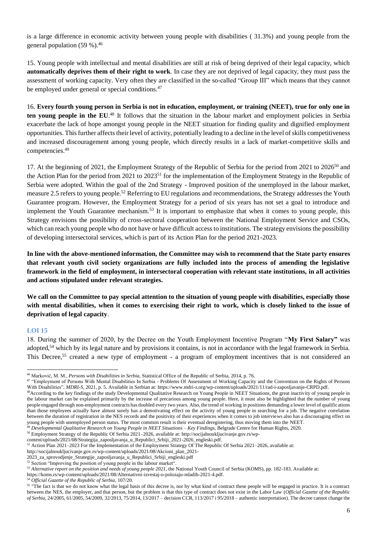is a large difference in economic activity between young people with disabilities ( 31.3%) and young people from the general population (59 %).<sup>46</sup>

15. Young people with intellectual and mental disabilities are still at risk of being deprived of their legal capacity, which **automatically deprives them of their right to work**. In case they are not deprived of legal capacity, they must pass the assessment of working capacity. Very often they are classified in the so-called "Group III" which means that they cannot be employed under general or special conditions.<sup>47</sup>

16. **Every fourth young person in Serbia is not in education, employment, or training (NEET), true for only one in**  ten young people in the EU.<sup>48</sup> It follows that the situation in the labour market and employment policies in Serbia exacerbate the lack of hope amongst young people in the NEET situation for finding quality and dignified employment opportunities. This further affects their level of activity, potentially leading to a decline in the level of skills competitiveness and increased discouragement among young people, which directly results in a lack of market-competitive skills and competencies.<sup>49</sup>

17. At the beginning of 2021, the Employment Strategy of the Republic of Serbia for the period from 2021 to 2026<sup>50</sup> and the Action Plan for the period from 2021 to 2023<sup>51</sup> for the implementation of the Employment Strategy in the Republic of Serbia were adopted. Within the goal of the 2nd Strategy - Improved position of the unemployed in the labour market, measure 2.5 refers to young people.<sup>52</sup> Referring to EU regulations and recommendations, the Strategy addresses the Youth Guarantee program. However, the Employment Strategy for a period of six years has not set a goal to introduce and implement the Youth Guarantee mechanism.<sup>53</sup> It is important to emphasize that when it comes to young people, this Strategy envisions the possibility of cross-sectoral cooperation between the National Employment Service and CSOs, which can reach young people who do not have or have difficult access to institutions. The strategy envisions the possibility of developing intersectoral services, which is part of its Action Plan for the period 2021-2023.

**In line with the above-mentioned information, the Committee may wish to recommend that the State party ensures that relevant youth civil society organizations are fully included into the process of amending the legislative framework in the field of employment, in intersectoral cooperation with relevant state institutions, in all activities and actions stipulated under relevant strategies.**

**We call on the Committee to pay special attention to the situation of young people with disabilities, especially those with mental disabilities, when it comes to exercising their right to work, which is closely linked to the issue of deprivation of legal capacity**.

#### **LOI 15**

18. During the summer of 2020, by the Decree on the Youth Employment Incentive Program "**My First Salary"** was adopted,<sup>54</sup> which by its legal nature and by provisions it contains, is not in accordance with the legal framework in Serbia. This Decree,<sup>55</sup> created a new type of employment - a program of employment incentives that is not considered an

[content/uploads/2021/08/Strategija\\_zaposljavanja\\_u\\_Republici\\_Srbiji\\_2021-2026\\_engleski.pdf.](http://socijalnoukljucivanje.gov.rs/wp-content/uploads/2021/08/Strategija_zaposljavanja_u_Republici_Srbiji_2021-2026_engleski.pdf)

<sup>46</sup> Marković, M. M., *Persons with Disabilities in Serbia,* Statistical Office of the Republic of Serbia, 2014, p. 76.

<sup>&</sup>lt;sup>47</sup> "Employment of Persons With Mental Disabilities In Serbia - Problems Of Assessment of Working Capacity and the Convention on the Rights of Persons With Disabilities", *MDRI-S*, 2021, p. 5. Available in Serbian at: [https://www.mdri-s.org/wp-content/uploads/2021/11/rad-i-zaposljavanje-CRPD.pdf.](https://www.mdri-s.org/wp-content/uploads/2021/11/rad-i-zaposljavanje-CRPD.pdf)

<sup>&</sup>lt;sup>48</sup>According to the key findings of the study Developmental Qualitative Research on Young People in NEET Situations, the great inactivity of young people in the labour market can be explained primarily by the increase of precarious among young people. Here, it must also be highlighted that the number of young people engaged through non-employment contracts has doubled every two years. Also, the trend of working in positions demanding a lower level of qualifications than those employees actually have almost surely has a demotivating effect on the activity of young people in searching for a job. The negative correlation between the duration of registration in the NES records and the positivity of their experiences when it comes to job interviews also has a discouraging effect on young people with unemployed person status. The most common result is their eventual deregistering, thus moving them into the NEET. <sup>49</sup> *Developmental Qualitative Research on Young People in NEET Situations – Key Findings*, Belgrade Centre for Human Rights, 2020.

<sup>50</sup> Employment Strategy of the Republic Of Serbia 2021–2026, available at[: http://socijalnoukljucivanje.gov.rs/wp-](http://socijalnoukljucivanje.gov.rs/wp-content/uploads/2021/08/Strategija_zaposljavanja_u_Republici_Srbiji_2021-2026_engleski.pdf)

<sup>51</sup> Action Plan 2021–2023 For the Implementation of the Employment Strategy Of The Republic Of Serbia 2021–2026, available at:

http://socijalnoukljucivanje.gov.rs/wp-content/uploads/2021/08/Akcioni\_plan\_2021-

<sup>2023</sup>\_za\_sprovodjenje\_Strategije\_zaposljavanja\_u\_Republici\_Srbiji\_engleski.pdf

 $52$  Section "Improving the position of young people in the labour market".

<sup>53</sup> *Alternative report on the position and needs of young people 2021*, the National Youth Council of Serbia (KOMS), pp. 182-183. Available at:

[https://koms.rs/wp-content/uploads/2021/08/Alternativni-izvestaj-o-polozaju-mladih-2021-4.pdf.](https://koms.rs/wp-content/uploads/2021/08/Alternativni-izvestaj-o-polozaju-mladih-2021-4.pdf)

<sup>54</sup> *Official Gazette of the Republic of Serbia*, 107/20.

<sup>&</sup>lt;sup>55</sup> "The fact is that we do not know what the legal basis of this decree is, nor by what kind of contract these people will be engaged in practice. It is a contract [between the NES, the employer, and that person, but the problem is that this type of contract does not exist in the Labor Law](https://www.paragraf.rs/propisi/zakon_o_radu.html) (*[Official Gazette of the Republic](https://www.paragraf.rs/propisi/zakon_o_radu.html)  [of Serbia](https://www.paragraf.rs/propisi/zakon_o_radu.html)*[, 24/2005, 61/2005, 54/2009, 32/2013, 75/2014, 13/2017 –](https://www.paragraf.rs/propisi/zakon_o_radu.html) decision CCR, 113/2017 i 95/2018 – authentic interpretation). The decree cannot change the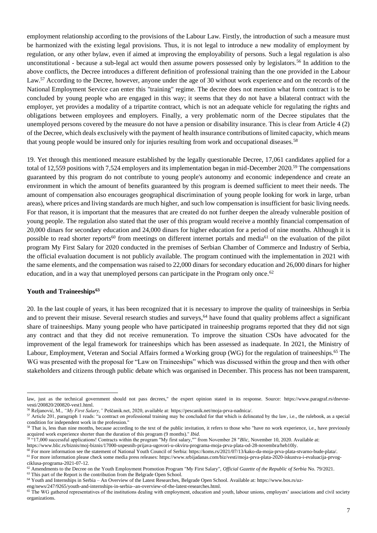employment relationship according to the provisions of the Labour Law. Firstly, the introduction of such a measure must be harmonized with the existing legal provisions. Thus, it is not legal to introduce a new modality of employment by regulation, or any other bylaw, even if aimed at improving the employability of persons. Such a legal regulation is also unconstitutional - because a sub-legal act would then assume powers possessed only by legislators.<sup>56</sup> In addition to the above conflicts, the Decree introduces a different definition of professional training than the one provided in the Labour Law.<sup>57</sup> According to the Decree, however, anyone under the age of 30 without work experience and on the records of the National Employment Service can enter this "training" regime. The decree does not mention what form contract is to be concluded by young people who are engaged in this way; it seems that they do not have a bilateral contract with the employer, yet provides a modality of a tripartite contract, which is not an adequate vehicle for regulating the rights and obligations between employees and employers. Finally, a very problematic norm of the Decree stipulates that the unemployed persons covered by the measure do not have a pension or disability insurance. This is clear from Article 4 (2) of the Decree, which deals exclusively with the payment of health insurance contributions of limited capacity, which means that young people would be insured only for injuries resulting from work and occupational diseases.<sup>58</sup>

19. Yet through this mentioned measure established by the legally questionable Decree, 17,061 candidates applied for a total of 12,559 positions with 7,524 employers and its implementation began in mid-December 2020.<sup>59</sup> The compensations guaranteed by this program do not contribute to young people's autonomy and economic independence and create an environment in which the amount of benefits guaranteed by this program is deemed sufficient to meet their needs. The amount of compensation also encourages geographical discrimination of young people looking for work in large, urban areas), where prices and living standards are much higher, and such low compensation is insufficient for basic living needs. For that reason, it is important that the measures that are created do not further deepen the already vulnerable position of young people. The regulation also stated that the user of this program would receive a monthly financial compensation of 20,000 dinars for secondary education and 24,000 dinars for higher education for a period of nine months. Although it is possible to read shorter reports<sup>60</sup> from meetings on different internet portals and media<sup>61</sup> on the evaluation of the pilot program My First Salary for 2020 conducted in the premises of Serbian Chamber of Commerce and Industry of Serbia, the official evaluation document is not publicly available. The program continued with the implementation in 2021 with the same elements, and the compensation was raised to 22,000 dinars for secondary education and 26,000 dinars for higher education, and in a way that unemployed persons can participate in the Program only once.<sup>62</sup>

#### **Youth and Traineeships<sup>63</sup>**

20. In the last couple of years, it has been recognized that it is necessary to improve the quality of traineeships in Serbia and to prevent their misuse. Several research studies and surveys,<sup>64</sup> have found that quality problems affect a significant share of traineeships. Many young people who have participated in traineeship programs reported that they did not sign any contract and that they did not receive remuneration. To improve the situation CSOs have advocated for the improvement of the legal framework for traineeships which has been assessed as inadequate. In 2021, the Ministry of Labour, Employment, Veteran and Social Affairs formed a Working group (WG) for the regulation of traineeships.<sup>65</sup> The WG was presented with the proposal for "Law on Traineeships" which was discussed within the group and then with other stakeholders and citizens through public debate which was organised in December. This process has not been transparent,

law, just as the technical government should not pass decrees," the expert opinion stated in its response. Source: [https://www.paragraf.rs/dnevne](https://www.paragraf.rs/dnevne-vesti/200820/200820-vest1.html)[vesti/200820/200820-vest1.html.](https://www.paragraf.rs/dnevne-vesti/200820/200820-vest1.html)

<sup>56</sup> Reljanović, M., *"My First Salary,"* Peščanik.net, 2020, available at: [https://pescanik.net/moja-prva-nadnica/.](https://pescanik.net/moja-prva-nadnica/)

<sup>&</sup>lt;sup>57</sup> Article 201, paragraph 1 reads: "a contract on professional training may be concluded for that which is delineated by the law, i.e., the rulebook, as a special condition for independent work in the profession.

<sup>&</sup>lt;sup>58</sup> That is, less than nine months, because according to the text of the public invitation, it refers to those who "have no work experience, i.e., have previously acquired work experience shorter than the duration of this program (9 months)." *Ibid.*

<sup>59</sup> "17,000 successful applications! Contracts within the program "My first salary,"" from November 28 "*Blic*, November 10, 2020. Available a[t:](https://www.blic.rs/biznis/moj-biznis/17000-uspesnih-prijava-ugovori-u-okviru-programa-moja-prva-plata-od-28-novembra/heb10ly)

[https://www.blic.rs/biznis/moj-biznis/17000-uspesnih-prijava-ugovori-u-okviru-programa-moja-prva-plata-od-28-novembra/heb10ly.](https://www.blic.rs/biznis/moj-biznis/17000-uspesnih-prijava-ugovori-u-okviru-programa-moja-prva-plata-od-28-novembra/heb10ly)

<sup>60</sup> For more information see the statement of National Youth Council of Serbia[: https://koms.rs/2021/07/13/kako-da-moja-prva-plata-stvarno-bude-plata/.](https://koms.rs/2021/07/13/kako-da-moja-prva-plata-stvarno-bude-plata/) <sup>61</sup> For more information please check some media press releases: [https://www.srbijadanas.com/biz/vesti/moja-prva-plata-2020-iskustva-i-evaluacija-prvog](https://www.srbijadanas.com/biz/vesti/moja-prva-plata-2020-iskustva-i-evaluacija-prvog-ciklusa-programa-2021-07-12)[ciklusa-programa-2021-07-12.](https://www.srbijadanas.com/biz/vesti/moja-prva-plata-2020-iskustva-i-evaluacija-prvog-ciklusa-programa-2021-07-12)

<sup>62</sup> Amendments to the Decree on the Youth Employment Promotion Program "My First Salary", *Official Gazette of the Republic of Serbia* No. 79/2021.

<sup>&</sup>lt;sup>63</sup> This part of the Report is the contribution from the Belgrade Open School.

<sup>&</sup>lt;sup>64</sup> Youth and Internships in Serbia – An Overview of the Latest Researches, Belgrade Open School. Available at: [https://www.bos.rs/uz-](https://www.bos.rs/uz-eng/news/247/9265/youth-and-internships-in-serbia--an-overview-of-the-latest-researches.html)

[eng/news/247/9265/youth-and-internships-in-serbia--an-overview-of-the-latest-researches.html.](https://www.bos.rs/uz-eng/news/247/9265/youth-and-internships-in-serbia--an-overview-of-the-latest-researches.html)

<sup>&</sup>lt;sup>65</sup> Th[e](https://www.bos.rs/uz-eng/news/247/10096/through-legal-regulation-to-better-internships.html) WG gathered representatives of the institutions dealing with employment, education and youth, labour unions, employers' associations and civil society organizations.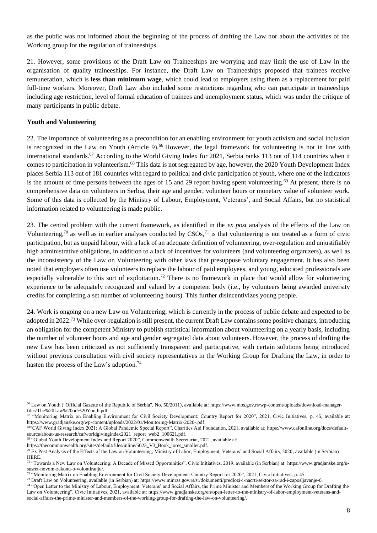as the public was not informed about the beginning of the process of drafting the Law nor about the activities of the Working group for the regulation of traineeships.

21. However, some provisions of the Draft Law on Traineeships are worrying and may limit the use of Law in the organisation of quality traineeships. For instance, the Draft Law on Traineeships proposed that trainees receive remuneration, which is **less than minimum wage**, which could lead to employers using them as a replacement for paid full-time workers. Moreover, Draft Law also included some restrictions regarding who can participate in traineeships including age restriction, level of formal education of trainees and unemployment status, which was under the critique of many participants in public debate.

#### **Youth and Volunteering**

22. The importance of volunteering as a precondition for an enabling environment for youth activism and social inclusion is recognized in the Law on Youth (Article 9).<sup>66</sup> However, the legal framework for volunteering is not in line with international standards.<sup>67</sup> According to the World Giving Index for 2021, Serbia ranks 113 out of 114 countries when it comes to participation in volunteerism.<sup>68</sup> This data is not segregated by age, however, the 2020 Youth Development Index places Serbia 113 out of 181 countries with regard to political and civic participation of youth, where one of the indicators is the amount of time persons between the ages of 15 and 29 report having spent volunteering.<sup>69</sup> At present, there is no comprehensive data on volunteers in Serbia, their age and gender, volunteer hours or monetary value of volunteer work. Some of this data is collected by the Ministry of Labour, Employment, Veterans', and Social Affairs, but no statistical information related to volunteering is made public.

23. The central problem with the current framework, as identified in the *ex post* analysis of the effects of the Law on Volunteering,<sup>70</sup> as well as in earlier analyses conducted by  $CSOs$ ,<sup>71</sup> is that volunteering is not treated as a form of civic participation, but as unpaid labour, with a lack of an adequate definition of volunteering, over-regulation and unjustifiably high administrative obligations, in addition to a lack of incentives for volunteers (and volunteering organizers), as well as the inconsistency of the Law on Volunteering with other laws that presuppose voluntary engagement. It has also been noted that employers often use volunteers to replace the labour of paid employees, and young, educated professionals are especially vulnerable to this sort of exploitation.<sup>72</sup> There is no framework in place that would allow for volunteering experience to be adequately recognized and valued by a competent body (i.e., by volunteers being awarded university credits for completing a set number of volunteering hours). This further disincentivizes young people.

24. Work is ongoing on a new Law on Volunteering, which is currently in the process of public debate and expected to be adopted in 2022.<sup>73</sup> While over-regulation is still present, the current Draft Law contains some positive changes, introducing an obligation for the competent Ministry to publish statistical information about volunteering on a yearly basis, including the number of volunteer hours and age and gender segregated data about volunteers. However, the process of drafting the new Law has been criticized as not sufficiently transparent and participative, with certain solutions being introduced without previous consultation with civil society representatives in the Working Group for Drafting the Law, in order to hasten the process of the Law's adoption.<sup>74</sup>

<sup>&</sup>lt;sup>66</sup> Law on Youth ("Official Gazette of the Republic of Serbia", No. 50/2011), available at: [https://www.mos.gov.rs/wp-content/uploads/download-manager](https://www.mos.gov.rs/wp-content/uploads/download-manager-files/The%20Law%20on%20Youth.pdf)[files/The%20Law%20on%20Youth.pdf](https://www.mos.gov.rs/wp-content/uploads/download-manager-files/The%20Law%20on%20Youth.pdf)

<sup>67</sup> "Monitoring Matrix on Enabling Environment for Civil Society Development: Country Report for 2020", 2021, Civic Initiatives, p. 45, available at: [https://www.gradjanske.org/wp-content/uploads/2022/01/Monitoring-Matrix-2020-.pdf.](https://www.gradjanske.org/wp-content/uploads/2022/01/Monitoring-Matrix-2020-.pdf)

<sup>68</sup>"CAF World Giving Index 2021: A Global Pandemic Special Report", Charities Aid Foundation, 2021, available at: [https://www.cafonline.org/docs/default](https://www.cafonline.org/docs/default-source/about-us-research/cafworldgivingindex2021_report_web2_100621.pdf)[source/about-us-research/cafworldgivingindex2021\\_report\\_web2\\_100621.pdf.](https://www.cafonline.org/docs/default-source/about-us-research/cafworldgivingindex2021_report_web2_100621.pdf)

<sup>&</sup>lt;sup>69</sup> "Global Youth Development Index and Report 2020", Commonwealth Secretariat, 2021, available at:

[https://thecommonwealth.org/sites/default/files/inline/5023\\_V3\\_Book\\_lores\\_smaller.pdf.](https://thecommonwealth.org/sites/default/files/inline/5023_V3_Book_lores_smaller.pdf)

 $70$  Ex Post Analysis of the Effects of the Law on Volunteering, Ministry of Labor, Employment, Veterans' and Social Affairs, 2020, available (in Serbian) [HERE.](https://www.minrzs.gov.rs/sites/default/files/2021-02/%D0%95%D0%BA%D1%81%20%D0%BF%D0%BE%D1%81%D1%82%20%D0%B0%D0%BD%D0%B0%D0%BB%D0%B8%D0%B7%D0%B0%20%D0%B5%D1%84%D0%B5%D0%BA%D0%B0%D1%82%D0%B0%20%D0%97%D0%B0%D0%BA%D0%BE%D0%BD%D0%B0%20%D0%BE%20%D0%B2%D0%BE%D0%BB%D0%BE%D0%BD%D1%82%D0%B8%D1%80%D0%B0%D1%9A%D1%83.pdf) 

<sup>71</sup> "Towards a New Law on Volunteering: A Decade of Missed Opportunities", Civic Initiatives, 2019, available (in Serbian) at[: https://www.gradjanske.org/u](https://www.gradjanske.org/u-susret-novom-zakonu-o-volontiranju/)[susret-novom-zakonu-o-volontiranju/.](https://www.gradjanske.org/u-susret-novom-zakonu-o-volontiranju/)

<sup>72 &</sup>quot;Monitoring Matrix on Enabling Environment for Civil Society Development: Country Report for 2020", 2021, Civic Initiatives, p. 45.

<sup>73</sup> Draft Law on Volunteering, available (in Serbian) at[: https://www.minrzs.gov.rs/sr/dokumenti/predlozi-i-nacrti/sektor-za-rad-i-zaposljavanje-0.](https://www.minrzs.gov.rs/sr/dokumenti/predlozi-i-nacrti/sektor-za-rad-i-zaposljavanje-0)

<sup>&</sup>lt;sup>74</sup> "Open Letter to the Ministry of Labour, Employment, Veterans' and Social Affairs, the Prime Minister and Members of the Working Group for Drafting the Law on Volunteering", Civic Initiatives, 2021, available at[: https://www.gradjanske.org/en/open-letter-to-the-ministry-of-labor-employment-veterans-and](https://www.gradjanske.org/en/open-letter-to-the-ministry-of-labor-employment-veterans-and-social-affairs-the-prime-minister-and-members-of-the-working-group-for-drafting-the-law-on-volunteering/)[social-affairs-the-prime-minister-and-members-of-the-working-group-for-drafting-the-law-on-volunteering/.](https://www.gradjanske.org/en/open-letter-to-the-ministry-of-labor-employment-veterans-and-social-affairs-the-prime-minister-and-members-of-the-working-group-for-drafting-the-law-on-volunteering/)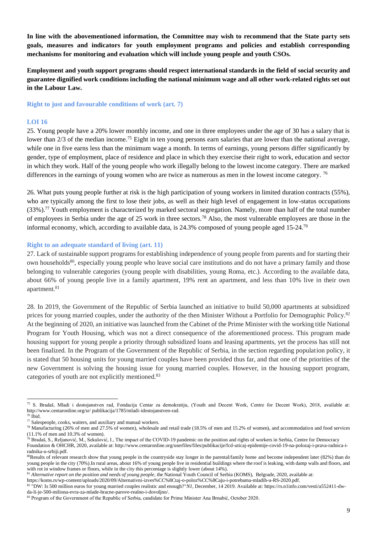**In line with the abovementioned information, the Committee may wish to recommend that the State party sets goals, measures and indicators for youth employment programs and policies and establish corresponding mechanisms for monitoring and evaluation which will include young people and youth CSOs.**

**Employment and youth support programs should respect international standards in the field of social security and guarantee dignified work conditions including the national minimum wage and all other work-related rights set out in the Labour Law.**

**Right to just and favourable conditions of work (art. 7)**

#### **LOI 16**

25. Young people have a 20% lower monthly income, and one in three employees under the age of 30 has a salary that is lower than 2/3 of the median income.<sup>75</sup> Eight in ten young persons earn salaries that are lower than the national average, while one in five earns less than the minimum wage a month. In terms of earnings, young persons differ significantly by gender, type of employment, place of residence and place in which they exercise their right to work, education and sector in which they work. Half of the young people who work illegally belong to the lowest income category. There are marked differences in the earnings of young women who are twice as numerous as men in the lowest income category.<sup>76</sup>

26. What puts young people further at risk is the high participation of young workers in limited duration contracts (55%), who are typically among the first to lose their jobs, as well as their high level of engagement in low-status occupations (33%).<sup>77</sup> Youth employment is characterized by marked sectoral segregation. Namely, more than half of the total number of employees in Serbia under the age of 25 work in three sectors.<sup>78</sup> Also, the most vulnerable employees are those in the informal economy, which, according to available data, is 24.3% composed of young people aged 15-24.<sup>79</sup>

#### **Right to an adequate standard of living (art. 11)**

27. Lack of sustainable support programs for establishing independence of young people from parents and for starting their own households<sup>80</sup>, especially young people who leave social care institutions and do not have a primary family and those belonging to vulnerable categories (young people with disabilities, young Roma, etc.). According to the available data, about 66% of young people live in a family apartment, 19% rent an apartment, and less than 10% live in their own apartment.<sup>81</sup>

28. In 2019, the Government of the Republic of Serbia launched an initiative to build 50,000 apartments at subsidized prices for young married couples, under the authority of the then Minister Without a Portfolio for Demographic Policy.<sup>82</sup> At the beginning of 2020, an initiative was launched from the Cabinet of the Prime Minister with the working title National Program for Youth Housing, which was not a direct consequence of the aforementioned process. This program made housing support for young people a priority through subsidized loans and leasing apartments, yet the process has still not been finalized. In the Program of the Government of the Republic of Serbia, in the section regarding population policy, it is stated that 50 housing units for young married couples have been provided thus far, and that one of the priorities of the new Government is solving the housing issue for young married couples. However, in the housing support program, categories of youth are not explicitly mentioned.<sup>83</sup>

<sup>75</sup> S. Bradaš, Mladi i dostojanstven rad, Fondacija Centar za demokratiju, (Youth and Decent Work, Centre for Decent Work), 2018, available at: [http://www.centaronline.org/sr/ publikacija/1785/mladi-idostojanstven-rad.](http://www.centaronline.org/sr/)

 $76$  Ibid.

 $77$  Salespeople, cooks, waiters, and auxiliary and manual workers.

<sup>78</sup> Manufacturing (26% of men and 27.5% of women), wholesale and retail trade (18.5% of men and 15.2% of women), and accommodation and food services (11.1% of men and 10.3% of women).

<sup>&</sup>lt;sup>79</sup> Bradaš, S., Reljanović, M., Sekulović, I., The impact of the COVID-19 pandemic on the position and rights of workers in Serbia, Centre for Democracy Foundation & OHCHR, 2020, available at: [http://www.centaronline.org/userfiles/files/publikacije/fcd-uticaj-epidemije-covid-19-na-polozaj-i-prava-radnica-i](http://www.centaronline.org/userfiles/files/publikacije/fcd-uticaj-epidemije-covid-19-na-polozaj-i-prava-radnica-i-radnika-u-srbiji.pdf)[radnika-u-srbiji.pdf.](http://www.centaronline.org/userfiles/files/publikacije/fcd-uticaj-epidemije-covid-19-na-polozaj-i-prava-radnica-i-radnika-u-srbiji.pdf)

<sup>&</sup>lt;sup>80</sup>Results of relevant research show that young people in the countryside stay longer in the parental/family home and become independent later (82%) than do young people in the city (70%).In rural areas, about 16% of young people live in residential buildings where the roof is leaking, with damp walls and floors, and with rot in window frames or floors, while in the city this percentage is slightly lower (about 14%).

<sup>&</sup>lt;sup>81</sup> Alternative report on the position and needs of young people, the National Youth Council of Serbia (KOMS), Belgrade, 2020, available at[:](https://koms.rs/wp-content/uploads/2020/09/Alternativni-izves%CC%8Ctaj-o-poloz%CC%8Caju-i-potrebama-mladih-u-RS-2020.pdf)

[https://koms.rs/wp-content/uploads/2020/09/Alternativni-izves%CC%8Ctaj-o-poloz%CC%8Caju-i-potrebama-mladih-u-RS-2020.pdf.](https://koms.rs/wp-content/uploads/2020/09/Alternativni-izves%CC%8Ctaj-o-poloz%CC%8Caju-i-potrebama-mladih-u-RS-2020.pdf)

<sup>82</sup> "DW: Is 500 million euros for young married couples realistic and enough?"*N1,* December, 14 2019. Available a[t:](https://rs.n1info.com/vesti/a552411-dw-da-li-je-500-miliona-evra-za-mlade-bracne-parove-realno-i-dovoljno/) [https://rs.n1info.com/vesti/a552411-dw](https://rs.n1info.com/vesti/a552411-dw-da-li-je-500-miliona-evra-za-mlade-bracne-parove-realno-i-dovoljno/)[da-li-je-500-miliona-evra-za-mlade-bracne-parove-realno-i-dovoljno/.](https://rs.n1info.com/vesti/a552411-dw-da-li-je-500-miliona-evra-za-mlade-bracne-parove-realno-i-dovoljno/)

<sup>83</sup> Program of the Government of the Republic of Serbia, candidate for Prime Minister Ana Brnabić, October 2020.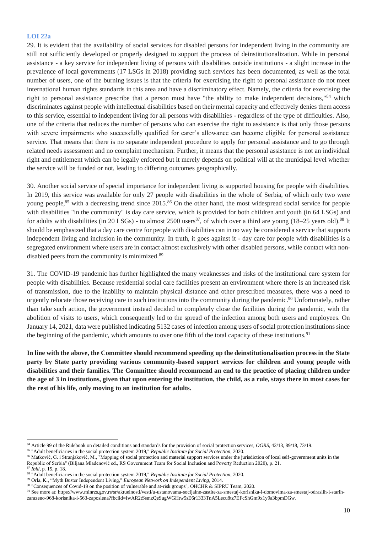#### **LOI 22a**

29. It is evident that the availability of social services for disabled persons for independent living in the community are still not sufficiently developed or properly designed to support the process of deinstitutionalization. While in personal assistance - a key service for independent living of persons with disabilities outside institutions - a slight increase in the prevalence of local governments (17 LSGs in 2018) providing such services has been documented, as well as the total number of users, one of the burning issues is that the criteria for exercising the right to personal assistance do not meet international human rights standards in this area and have a discriminatory effect. Namely, the criteria for exercising the right to personal assistance prescribe that a person must have "the ability to make independent decisions,"<sup>84</sup> which discriminates against people with intellectual disabilities based on their mental capacity and effectively denies them access to this service, essential to independent living for all persons with disabilities - regardless of the type of difficulties. Also, one of the criteria that reduces the number of persons who can exercise the right to assistance is that only those persons with severe impairments who successfully qualified for carer's allowance can become eligible for personal assistance service. That means that there is no separate independent procedure to apply for personal assistance and to go through related needs assessment and no complaint mechanism. Further, it means that the personal assistance is not an individual right and entitlement which can be legally enforced but it merely depends on political will at the municipal level whether the service will be funded or not, leading to differing outcomes geographically.

30. Another social service of special importance for independent living is supported housing for people with disabilities. In 2019, this service was available for only 27 people with disabilities in the whole of Serbia, of which only two were young people,<sup>85</sup> with a decreasing trend since 2015.<sup>86</sup> On the other hand, the most widespread social service for people with disabilities "in the community" is day care service, which is provided for both children and youth (in 64 LSGs) and for adults with disabilities (in 20 LSGs) - to almost 2500 users<sup>87</sup>, of which over a third are young (18–25 years old).<sup>88</sup> It should be emphasized that a day care centre for people with disabilities can in no way be considered a service that supports independent living and inclusion in the community. In truth, it goes against it - day care for people with disabilities is a segregated environment where users are in contact almost exclusively with other disabled persons, while contact with nondisabled peers from the community is minimized.<sup>89</sup>

31. The COVID-19 pandemic has further highlighted the many weaknesses and risks of the institutional care system for people with disabilities. Because residential social care facilities present an environment where there is an increased risk of transmission, due to the inability to maintain physical distance and other prescribed measures, there was a need to urgently relocate those receiving care in such institutions into the community during the pandemic.<sup>90</sup> Unfortunately, rather than take such action, the government instead decided to completely close the facilities during the pandemic, with the abolition of visits to users, which consequently led to the spread of the infection among both users and employees. On January 14, 2021, data were published indicating 5132 cases of infection among users of social protection institutions since the beginning of the pandemic, which amounts to over one fifth of the total capacity of these institutions.<sup>91</sup>

**In line with the above, the Committee should recommend speeding up the deinstitutionalisation process in the State party by State party providing various community-based support services for children and young people with disabilities and their families. The Committee should recommend an end to the practice of placing children under the age of 3 in institutions, given that upon entering the institution, the child, as a rule, stays there in most cases for the rest of his life, only moving to an institution for adults.**

<sup>84</sup> Article 99 of the Rulebook on detailed conditions and standards for the provision of social protection services, *OGRS*, 42/13, 89/18, 73/19.

<sup>85</sup> "Adult beneficiaries in the social protection system 2019," *Republic Institute for Social Protection*, 2020.

<sup>86</sup> Matković, G. i Stranjaković, M., "Mapping of social protection and material support services under the jurisdiction of local self-government units in the Republic of Serbia" (Biljana Mladenović ed., RS Government Team for Social Inclusion and Poverty Reduction 2020), p. 21.

<sup>87</sup> *Ibid*, p. 15, p. 18.

<sup>88</sup> "Adult beneficiaries in the social protection system 2019," *Republic Institute for Social Protection*, 2020.

<sup>89</sup> Orla, K., "Myth Buster Independent Living," *European Network on Independent Living*, 2014.

<sup>90</sup> "Consequences of Covid-19 on the position of vulnerable and at-risk groups", OHCHR & SIPRU Team, 2020.

<sup>91</sup> See more a[t:](https://www.minrzs.gov.rs/sr/aktuelnosti/vesti/u-ustanovama-socijalne-zastite-za-smestaj-korisnika-i-domovima-za-smestaj-odraslih-i-starih-zarazeno-968-korisnika-i-563-zaposlena?fbclid=IwAR2tSsmzQeSugWGHtw5sE6r1333TnA5Lecu8tz7EFcShGm9x1y9a3bpmDGw) [https://www.minrzs.gov.rs/sr/aktuelnosti/vesti/u-ustanovama-socijalne-zastite-za-smestaj-korisnika-i-domovima-za-smestaj-odraslih-i-starih-](https://www.minrzs.gov.rs/sr/aktuelnosti/vesti/u-ustanovama-socijalne-zastite-za-smestaj-korisnika-i-domovima-za-smestaj-odraslih-i-starih-zarazeno-968-korisnika-i-563-zaposlena?fbclid=IwAR2tSsmzQeSugWGHtw5sE6r1333TnA5Lecu8tz7EFcShGm9x1y9a3bpmDGw)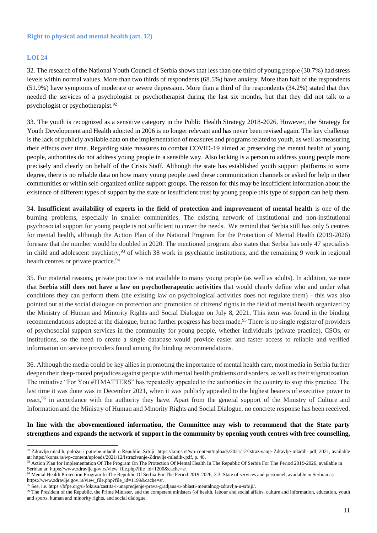#### **Right to physical and mental health (art. 12)**

#### **LOI 24**

32. The research of the National Youth Council of Serbia shows that less than one third of young people (30.7%) had stress levels within normal values. More than two thirds of respondents (68.5%) have anxiety. More than half of the respondents (51.9%) have symptoms of moderate or severe depression. More than a third of the respondents (34.2%) stated that they needed the services of a psychologist or psychotherapist during the last six months, but that they did not talk to a psychologist or psychotherapist.<sup>92</sup>

33. The youth is recognized as a sensitive category in the Public Health Strategy 2018-2026. However, the Strategy for Youth Development and Health adopted in 2006 is no longer relevant and has never been revised again. The key challenge is the lack of publicly available data on the implementation of measures and programs related to youth, as well as measuring their effects over time. Regarding state measures to combat COVID-19 aimed at preserving the mental health of young people, authorities do not address young people in a sensible way. Also lacking is a person to address young people more precisely and clearly on behalf of the Crisis Staff. Although the state has established youth support platforms to some degree, there is no reliable data on how many young people used these communication channels or asked for help in their communities or within self-organized online support groups. The reason for this may be insufficient information about the existence of different types of support by the state or insufficient trust by young people this type of support can help them.

34. **Insufficient availability of experts in the field of protection and improvement of mental health** is one of the burning problems, especially in smaller communities. The existing network of institutional and non-institutional psychosocial support for young people is not sufficient to cover the needs. We remind that Serbia still has only 5 centres for mental health, although the Action Plan of the National Program for the Protection of Mental Health (2019-2026) foresaw that the number would be doubled in 2020. The mentioned program also states that Serbia has only 47 specialists in child and adolescent psychiatry,<sup>93</sup> of which 38 work in psychiatric institutions, and the remaining 9 work in regional health centres or private practice.<sup>94</sup>

35. For material reasons, private practice is not available to many young people (as well as adults). In addition, we note that **Serbia still does not have a law on psychotherapeutic activities** that would clearly define who and under what conditions they can perform them (the existing law on psychological activities does not regulate them) - this was also pointed out at the social dialogue on protection and promotion of citizens' rights in the field of mental health organized by the Ministry of Human and Minority Rights and Social Dialogue on July 8, 2021. This item was found in the binding recommendations adopted at the dialogue, but no further progress has been made.<sup>95</sup> There is no single register of providers of psychosocial support services in the community for young people, whether individuals (private practice), CSOs, or institutions, so the need to create a single database would provide easier and faster access to reliable and verified information on service providers found among the binding recommendations.

36. Although the media could be key allies in promoting the importance of mental health care, most media in Serbia further deepen their deep-rooted prejudices against people with mental health problems or disorders, as well as their stigmatization. The initiative "For You #ITMATTERS" has repeatedly appealed to the authorities in the country to stop this practice. The last time it was done was in December 2021, when it was publicly appealed to the highest bearers of executive power to react,<sup>96</sup> in accordance with the authority they have. Apart from the general support of the Ministry of Culture and Information and the Ministry of Human and Minority Rights and Social Dialogue, no concrete response has been received.

#### **In line with the abovementioned information, the Committee may wish to recommend that the State party strengthens and expands the network of support in the community by opening youth centres with free counselling,**

<sup>92</sup> Zdravlje mladih, položaj i potrebe mladih u Republici Srbiji[: https://koms.rs/wp-content/uploads/2021/12/Istrazivanje-Zdravlje-mladih-.pdf,](https://koms.rs/wp-content/uploads/2021/12/Istrazivanje-Zdravlje-mladih-.pdf) 2021, available at[: https://koms.rs/wp-content/uploads/2021/12/Istrazivanje-Zdravlje-mladih-.pdf,](https://koms.rs/wp-content/uploads/2021/12/Istrazivanje-Zdravlje-mladih-.pdf) p. 48.

<sup>&</sup>lt;sup>93</sup> Action Plan for Implementation Of The Program On The Protection Of Mental Health In The Republic Of Serbia For The Period 2019-2026, available in Serbian at: [https://www.zdravlje.gov.rs/view\\_file.php?file\\_id=1200&cache=sr.](https://www.zdravlje.gov.rs/view_file.php?file_id=1200&cache=sr)

<sup>94</sup> Mental Health Protection Program In The Republic Of Serbia For The Period 2019-2026, 2.3. State of services and personnel, available in Serbian at: [https://www.zdravlje.gov.rs/view\\_file.php?file\\_id=1199&cache=sr.](https://www.zdravlje.gov.rs/view_file.php?file_id=1199&cache=sr)

<sup>95</sup> See, i.e. [https://bfpe.org/u-fokusu/zastita-i-unapredjenje-prava-gradjana-u-oblasti-mentalnog-zdravlja-u-srbiji/](https://bfpe.org/u-fokusu/zastita-i-unapredjenje-prava-gradjana-u-oblasti-mentalnog-zdravlja-u-srbiji).

<sup>&</sup>lt;sup>96</sup> The President of the Republic, the Prime Minister, and the competent ministers (of health, labour and social affairs, culture and information, education, youth and sports, human and minority rights, and social dialogue.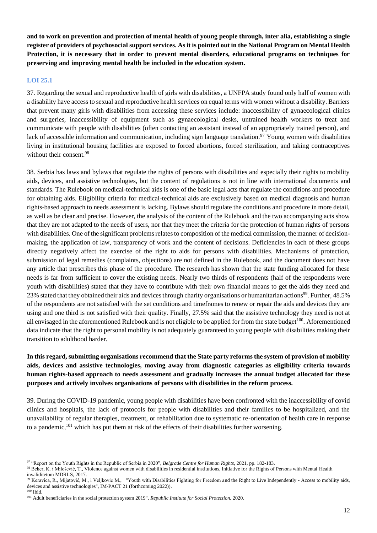**and to work on prevention and protection of mental health of young people through, inter alia, establishing a single register of providers of psychosocial support services. As it is pointed out in the National Program on Mental Health Protection, it is necessary that in order to prevent mental disorders, educational programs on techniques for preserving and improving mental health be included in the education system.**

#### **LOI 25.1**

37. Regarding the sexual and reproductive health of girls with disabilities, a UNFPA study found only half of women with a disability have access to sexual and reproductive health services on equal terms with women without a disability. Barriers that prevent many girls with disabilities from accessing these services include: inaccessibility of gynaecological clinics and surgeries, inaccessibility of equipment such as gynaecological desks, untrained health workers to treat and communicate with people with disabilities (often contacting an assistant instead of an appropriately trained person), and lack of accessible information and communication, including sign language translation.<sup>97</sup> Young women with disabilities living in institutional housing facilities are exposed to forced abortions, forced sterilization, and taking contraceptives without their consent.<sup>98</sup>

38. Serbia has laws and bylaws that regulate the rights of persons with disabilities and especially their rights to mobility aids, devices, and assistive technologies, but the content of regulations is not in line with international documents and standards. The Rulebook on medical-technical aids is one of the basic legal acts that regulate the conditions and procedure for obtaining aids. Eligibility criteria for medical-technical aids are exclusively based on medical diagnosis and human rights-based approach to needs assessment is lacking. Bylaws should regulate the conditions and procedure in more detail, as well as be clear and precise. However, the analysis of the content of the Rulebook and the two accompanying acts show that they are not adapted to the needs of users, nor that they meet the criteria for the protection of human rights of persons with disabilities. One of the significant problems relates to composition of the medical commission, the manner of decisionmaking, the application of law, transparency of work and the content of decisions. Deficiencies in each of these groups directly negatively affect the exercise of the right to aids for persons with disabilities. Mechanisms of protection, submission of legal remedies (complaints, objections) are not defined in the Rulebook, and the document does not have any article that prescribes this phase of the procedure. The research has shown that the state funding allocated for these needs is far from sufficient to cover the existing needs. Nearly two thirds of respondents (half of the respondents were youth with disabilities) stated that they have to contribute with their own financial means to get the aids they need and 23% stated that they obtained their aids and devices through charity organisations or humanitarian actions<sup>99</sup>. Further, 48.5% of the respondents are not satisfied with the set conditions and timeframes to renew or repair the aids and devices they are using and one third is not satisfied with their quality. Finally, 27.5% said that the assistive technology they need is not at all envisaged in the aforementioned Rulebook and is not eligible to be applied for from the state budget<sup>100</sup>. Aforementioned data indicate that the right to personal mobility is not adequately guaranteed to young people with disabilities making their transition to adulthood harder.

#### **In this regard, submitting organisations recommend that the State party reforms the system of provision of mobility aids, devices and assistive technologies, moving away from diagnostic categories as eligibility criteria towards human rights-based approach to needs assessment and gradually increases the annual budget allocated for these purposes and actively involves organisations of persons with disabilities in the reform process.**

39. During the COVID-19 pandemic, young people with disabilities have been confronted with the inaccessibility of covid clinics and hospitals, the lack of protocols for people with disabilities and their families to be hospitalized, and the unavailability of regular therapies, treatment, or rehabilitation due to systematic re-orientation of health care in response to a pandemic,<sup>101</sup> which has put them at risk of the effects of their disabilities further worsening.

<sup>97</sup> "Report on the Youth Rights in the Republic of Serbia in 2020", *Belgrade Centre for Human Rights*, 2021, pp. 182-183.

<sup>98</sup> Beker, K. i Milošević, T., Violence against women with disabilities in residential institutions, Initiative for the Rights of Persons with Mental Health invaliditetom MDRI-S, 2017.

<sup>99</sup> Keravica, R., Mijatović, M., i Veljkovic M., "Youth with Disabilities Fighting for Freedom and the Right to Live Independently - Access to mobility aids, devices and assistive technologies", IM-PACT 21 (forthcoming 2022)). <sup>100</sup> Ibid.

<sup>101</sup> Adult beneficiaries in the social protection system 2019", *Republic Institute for Social Protection,* 2020.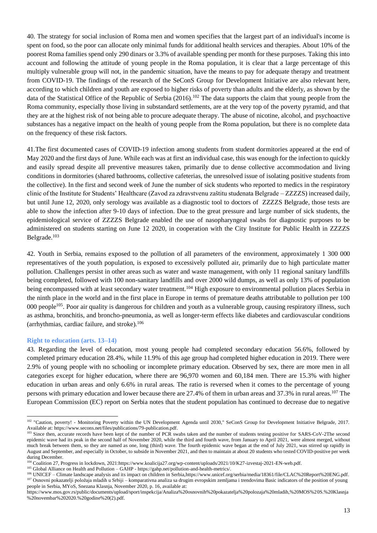40. The strategy for social inclusion of Roma men and women specifies that the largest part of an individual's income is spent on food, so the poor can allocate only minimal funds for additional health services and therapies. About 10% of the poorest Roma families spend only 290 dinars or 3.3% of available spending per month for these purposes. Taking this into account and following the attitude of young people in the Roma population, it is clear that a large percentage of this multiply vulnerable group will not, in the pandemic situation, have the means to pay for adequate therapy and treatment from COVID-19. The findings of the research of the SeConS Group for Development Initiative are also relevant here, according to which children and youth are exposed to higher risks of poverty than adults and the elderly, as shown by the data of the Statistical Office of the Republic of Serbia  $(2016)$ .<sup>102</sup> The data supports the claim that young people from the Roma community, especially those living in substandard settlements, are at the very top of the poverty pyramid, and that they are at the highest risk of not being able to procure adequate therapy. The abuse of nicotine, alcohol, and psychoactive substances has a negative impact on the health of young people from the Roma population, but there is no complete data on the frequency of these risk factors.

41.The first documented cases of COVID-19 infection among students from student dormitories appeared at the end of May 2020 and the first days of June. While each was at first an individual case, this was enough for the infection to quickly and easily spread despite all preventive measures taken, primarily due to dense collective accommodation and living conditions in dormitories (shared bathrooms, collective cafeterias, the unresolved issue of isolating positive students from the collective). In the first and second week of June the number of sick students who reported to medics in the respiratory clinic of the Institute for Students' Healthcare (Zavod za zdravstvenu zaštitu studenata Belgrade – ZZZZS) increased daily, but until June 12, 2020, only serology was available as a diagnostic tool to doctors of ZZZZS Belgrade, those tests are able to show the infection after 9-10 days of infection. Due to the great pressure and large number of sick students, the epidemiological service of ZZZZS Belgrade enabled the use of nasopharyngeal swabs for diagnostic purposes to be administered on students starting on June 12 2020, in cooperation with the City Institute for Public Health in ZZZZS Belgrade.<sup>103</sup>

42. Youth in Serbia, remains exposed to the pollution of all parameters of the environment, approximately 1 300 000 representatives of the youth population, is exposed to excessively polluted air, primarily due to high particulate matter pollution. Challenges persist in other areas such as water and waste management, with only 11 regional sanitary landfills being completed, followed with 100 non-sanitary landfills and over 2000 wild dumps, as well as only 13% of population being encompassed with at least secondary water treatment.<sup>104</sup> High exposure to environmental pollution places Serbia in the ninth place in the world and in the first place in Europe in terms of premature deaths attributable to pollution per 100 000 people<sup>105</sup>. Poor air quality is dangerous for children and youth as a vulnerable group, causing respiratory illness, such as asthma, bronchitis, and broncho-pneumonia, as well as longer-term effects like diabetes and cardiovascular conditions (arrhythmias, cardiac failure, and stroke). $106$ 

#### **Right to education (arts. 13–14)**

43. Regarding the level of education, most young people had completed secondary education 56.6%, followed by completed primary education 28.4%, while 11.9% of this age group had completed higher education in 2019. There were 2.9% of young people with no schooling or incomplete primary education. Observed by sex, there are more men in all categories except for higher education, where there are 96,970 women and 60,184 men. There are 15.3% with higher education in urban areas and only 6.6% in rural areas. The ratio is reversed when it comes to the percentage of young persons with primary education and lower because there are 27.4% of them in urban areas and 37.3% in rural areas.<sup>107</sup> The European Commission (EC) report on Serbia notes that the student population has continued to decrease due to negative

<sup>105</sup> Global Alliance on Health and Pollution – GAHP - [https://gahp.net/pollution-and-health-metrics/.](https://gahp.net/pollution-and-health-metrics/)

<sup>&</sup>lt;sup>102</sup> "Caution, poverty! - Monitoring Poverty within the UN Development Agenda until 2030," SeConS Group for Development Initiative Belgrade, 2017. Available at: [https://www.secons.net/files/publications/79-publication.pdf.](https://www.secons.net/files/publications/79-publication.pdf)

<sup>&</sup>lt;sup>1</sup>Since then, accurate records have been kept of the number of PCR swabs taken and the number of students testing positive for SARS-CoV-2The second epidemic wave had its peak in the second half of November 2020, while the third and fourth wave, from January to April 2021, were almost merged, without much break between them, so they are named as one, long (third) wave. The fourth epidemic wave began at the end of July 2021, was stirred up rapidly in August and September, and especially in October, to subside in November 2021, and then to maintain at about 20 students who tested COVID-positive per week during December.

<sup>&</sup>lt;sup>104</sup> Coalition 27, Progress in lockdown, 202[1:https://www.koalicija27.org/wp-content/uploads/2021/10/K27-izvestaj-2021-EN-web.pdf.](https://www.koalicija27.org/wp-content/uploads/2021/10/K27-izvestaj-2021-EN-web.pdf)

<sup>&</sup>lt;sup>106</sup> UNICEF – Climate landscape analysis and its impact on children in Serbi[a,https://www.unicef.org/serbia/media/18361/file/CLAC%20Report%20ENG.pdf.](https://www.unicef.org/serbia/media/18361/file/CLAC%20Report%20ENG.pdf) <sup>107</sup> Osnovni pokazatelji položaja mladih u Srbiji – komparativna analiza sa drugim evropskim zemljama i trendovima Basic indicators of the position of young people in Serbia, MYoS, Snezana Klasnja, November 2020, p. 16, available a[t:](https://www.mos.gov.rs/public/documents/upload/sport/inspekcija/Analiza%20osnovnih%20pokazatelja%20polozaja%20mladih,%20MOS%20S.%20Klasnja%20novembar%202020.%20godine%20(2).pdf)

[https://www.mos.gov.rs/public/documents/upload/sport/inspekcija/Analiza%20osnovnih%20pokazatelja%20polozaja%20mladih,%20MOS%20S.%20Klasnja](https://www.mos.gov.rs/public/documents/upload/sport/inspekcija/Analiza%20osnovnih%20pokazatelja%20polozaja%20mladih,%20MOS%20S.%20Klasnja%20novembar%202020.%20godine%20(2).pdf) [%20novembar%202020.%20godine%20\(2\).pdf.](https://www.mos.gov.rs/public/documents/upload/sport/inspekcija/Analiza%20osnovnih%20pokazatelja%20polozaja%20mladih,%20MOS%20S.%20Klasnja%20novembar%202020.%20godine%20(2).pdf)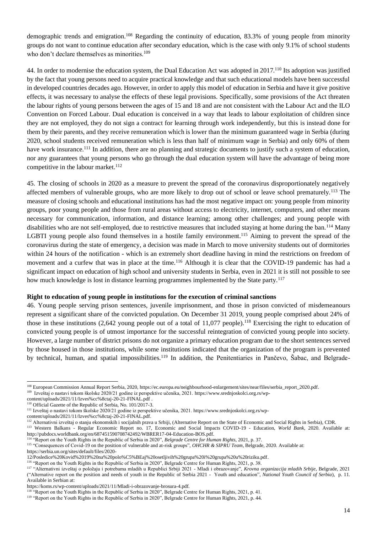demographic trends and emigration.<sup>108</sup> Regarding the continuity of education, 83.3% of young people from minority groups do not want to continue education after secondary education, which is the case with only 9.1% of school students who don't declare themselves as minorities.<sup>109</sup>

44. In order to modernise the education system, the Dual Education Act was adopted in 2017.<sup>110</sup> Its adoption was justified by the fact that young persons need to acquire practical knowledge and that such educational models have been successful in developed countries decades ago. However, in order to apply this model of education in Serbia and have it give positive effects, it was necessary to analyse the effects of these legal provisions. Specifically, some provisions of the Act threaten the labour rights of young persons between the ages of 15 and 18 and are not consistent with the Labour Act and the ILO Convention on Forced Labour. Dual education is conceived in a way that leads to labour exploitation of children since they are not employed, they do not sign a contract for learning through work independently, but this is instead done for them by their parents, and they receive remuneration which is lower than the minimum guaranteed wage in Serbia (during 2020, school students received remuneration which is less than half of minimum wage in Serbia) and only 60% of them have work insurance.<sup>111</sup> In addition, there are no planning and strategic documents to justify such a system of education, nor any guarantees that young persons who go through the dual education system will have the advantage of being more competitive in the labour market. $112$ 

45. The closing of schools in 2020 as a measure to prevent the spread of the coronavirus disproportionately negatively affected members of vulnerable groups, who are more likely to drop out of school or leave school prematurely.<sup>113</sup> The measure of closing schools and educational institutions has had the most negative impact on: young people from minority groups, poor young people and those from rural areas without access to electricity, internet, computers, and other means necessary for communication, information, and distance learning; among other challenges; and young people with disabilities who are not self-employed, due to restrictive measures that included staying at home during the ban.<sup>114</sup> Many LGBTI young people also found themselves in a hostile family environment.<sup>115</sup> Aiming to prevent the spread of the coronavirus during the state of emergency, a decision was made in March to move university students out of dormitories within 24 hours of the notification - which is an extremely short deadline having in mind the restrictions on freedom of movement and a curfew that was in place at the time.<sup>116</sup> Although it is clear that the COVID-19 pandemic has had a significant impact on education of high school and university students in Serbia, even in 2021 it is still not possible to see how much knowledge is lost in distance learning programmes implemented by the State party.<sup>117</sup>

#### **Right to education of young people in institutions for the execution of criminal sanctions**

46. Young people serving prison sentences, juvenile imprisonment, and those in prison convicted of misdemeanours represent a significant share of the convicted population. On December 31 2019, young people comprised about 24% of those in these institutions (2,642 young people out of a total of  $11,077$  people).<sup>118</sup> Exercising the right to education of convicted young people is of utmost importance for the successful reintegration of convicted young people into society. However, a large number of district prisons do not organize a primary education program due to the short sentences served by those housed in those institutions, while some institutions indicated that the organization of the program is prevented by technical, human, and spatial impossibilities.<sup>119</sup> In addition, the Penitentiaries in Pančevo, Šabac, and Belgrade-

<sup>114</sup> "Report on the Youth Rights in the Republic of Serbia in 2020", *Belgrade Centre for Human Rights*, 2021, p. 37.

[https://serbia.un.org/sites/default/files/2020-](https://serbia.un.org/sites/default/files/2020-12/Posledice%20Kovid%2019%20na%20polo%C5%BEaj%20osetljivih%20grupa%20i%20grupa%20u%20riziku.pdf)

<sup>108</sup> European Commission Annual Report Serbia, 2020, [https://ec.europa.eu/neighbourhood-enlargement/sites/near/files/serbia\\_report\\_2020.pdf.](https://ec.europa.eu/neighbourhood-enlargement/sites/near/files/serbia_report_2020.pdf)

<sup>109</sup> Izveštaj o nastavi tokom školske 2020/21 godine iz perspektive učenika, 2021[. https://www.srednjoskolci.org.rs/wp-](https://www.srednjoskolci.org.rs/wp-content/uploads/2021/11/Izves%cc%8ctaj-20-21-FINAL.pdf)

[content/uploads/2021/11/Izves%cc%8ctaj-20-21-FINAL.pdf](https://www.srednjoskolci.org.rs/wp-content/uploads/2021/11/Izves%cc%8ctaj-20-21-FINAL.pdf) . <sup>110</sup> Official Gazette of the Republic of Serbia, No. 101/2017-3.

<sup>111</sup> Izveštaj o nastavi tokom školske 2020/21 godine iz perspektive učenika, 2021[. https://www.srednjoskolci.org.rs/wp-](https://www.srednjoskolci.org.rs/wp-content/uploads/2021/11/Izves%cc%8ctaj-20-21-FINAL.pdf)

[content/uploads/2021/11/Izves%cc%8ctaj-20-21-FINAL.pdf.](https://www.srednjoskolci.org.rs/wp-content/uploads/2021/11/Izves%cc%8ctaj-20-21-FINAL.pdf)

<sup>&</sup>lt;sup>112</sup> Alternativni izveštaj o stanju ekonomskih i socijalnih prava u Srbiji, (Alternative Report on the State of Economic and Social Rights in Serbia), CDR. <sup>113</sup> Western Balkans - Regular Economic Report no. 17, Economic and Social Impacts COVID-19 - Education, *World Bank*, 2020. Available at: [http://pubdocs.worldbank.org/en/687451590708742492/WBRER17-04-Education-BOS.pdf.](http://pubdocs.worldbank.org/en/687451590708742492/WBRER17-04-Education-BOS.pdf)

<sup>&</sup>lt;sup>115</sup> "Consequences of Covid-19 on the position of vulnerable and at-risk groups", *OHCHR & SIPRU Team*, Belgrade, 2020. Available at:

[<sup>12/</sup>Posledice%20Kovid%2019%20na%20polo%C5%BEaj%20osetljivih%20grupa%20i%20grupa%20u%20riziku.pdf.](https://serbia.un.org/sites/default/files/2020-12/Posledice%20Kovid%2019%20na%20polo%C5%BEaj%20osetljivih%20grupa%20i%20grupa%20u%20riziku.pdf)

<sup>&</sup>lt;sup>116</sup> "Report on the Youth Rights in the Republic of Serbia in 2020", Belgrade Centre for Human Rights, 2021, p. 38.

<sup>117</sup> "Alternativni izveštaj o položaju i potrebama mladih u Republici Srbiji 2021 - Mladi i obrazovanje", *Krovna organizacija mladih Srbije*, Belgrade, 2021 ("Alternative report on the position and needs of youth in the Republic of Serbia 2021 - Youth and education", *National Youth Council of Serbia*), p. 11. Available in Serbian at:

[https://koms.rs/wp-content/uploads/2021/11/Mladi-i-obrazovanje-brosura-4.pdf.](https://koms.rs/wp-content/uploads/2021/11/Mladi-i-obrazovanje-brosura-4.pdf)

<sup>118</sup> "Report on the Youth Rights in the Republic of Serbia in 2020", Belgrade Centre for Human Rights, 2021, p. 41.

<sup>&</sup>lt;sup>119</sup> "Report on the Youth Rights in the Republic of Serbia in 2020", Belgrade Centre for Human Rights, 2021, p. 44.